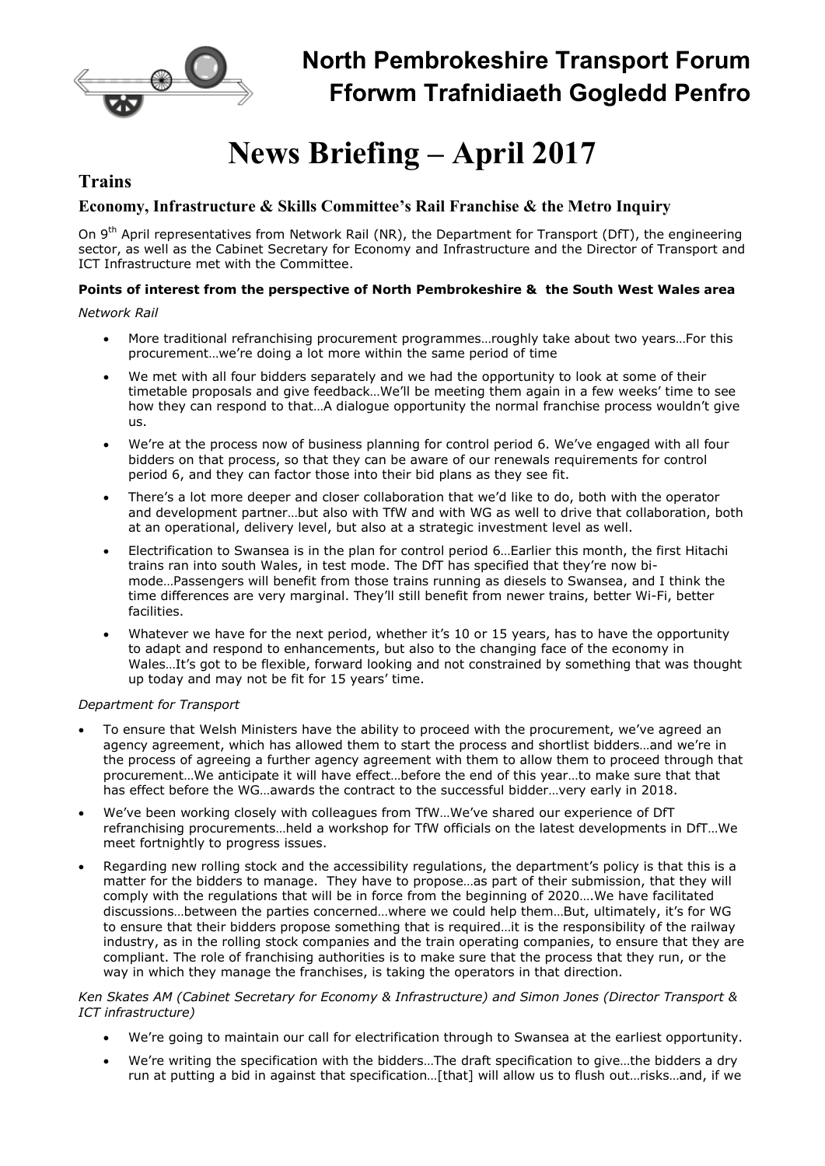

# News Briefing – April 2017

# **Trains**

# Economy, Infrastructure & Skills Committee's Rail Franchise & the Metro Inquiry

On 9<sup>th</sup> April representatives from Network Rail (NR), the Department for Transport (DfT), the engineering sector, as well as the Cabinet Secretary for Economy and Infrastructure and the Director of Transport and ICT Infrastructure met with the Committee.

# Points of interest from the perspective of North Pembrokeshire & the South West Wales area

Network Rail

- More traditional refranchising procurement programmes…roughly take about two years…For this procurement…we're doing a lot more within the same period of time
- We met with all four bidders separately and we had the opportunity to look at some of their timetable proposals and give feedback…We'll be meeting them again in a few weeks' time to see how they can respond to that…A dialogue opportunity the normal franchise process wouldn't give us.
- We're at the process now of business planning for control period 6. We've engaged with all four bidders on that process, so that they can be aware of our renewals requirements for control period 6, and they can factor those into their bid plans as they see fit.
- There's a lot more deeper and closer collaboration that we'd like to do, both with the operator and development partner…but also with TfW and with WG as well to drive that collaboration, both at an operational, delivery level, but also at a strategic investment level as well.
- Electrification to Swansea is in the plan for control period 6…Earlier this month, the first Hitachi trains ran into south Wales, in test mode. The DfT has specified that they're now bimode…Passengers will benefit from those trains running as diesels to Swansea, and I think the time differences are very marginal. They'll still benefit from newer trains, better Wi-Fi, better facilities.
- Whatever we have for the next period, whether it's 10 or 15 years, has to have the opportunity to adapt and respond to enhancements, but also to the changing face of the economy in Wales…It's got to be flexible, forward looking and not constrained by something that was thought up today and may not be fit for 15 years' time.

#### Department for Transport

- To ensure that Welsh Ministers have the ability to proceed with the procurement, we've agreed an agency agreement, which has allowed them to start the process and shortlist bidders…and we're in the process of agreeing a further agency agreement with them to allow them to proceed through that procurement…We anticipate it will have effect…before the end of this year…to make sure that that has effect before the WG…awards the contract to the successful bidder…very early in 2018.
- We've been working closely with colleagues from TfW…We've shared our experience of DfT refranchising procurements…held a workshop for TfW officials on the latest developments in DfT…We meet fortnightly to progress issues.
- Regarding new rolling stock and the accessibility regulations, the department's policy is that this is a matter for the bidders to manage. They have to propose…as part of their submission, that they will comply with the regulations that will be in force from the beginning of 2020….We have facilitated discussions…between the parties concerned…where we could help them…But, ultimately, it's for WG to ensure that their bidders propose something that is required…it is the responsibility of the railway industry, as in the rolling stock companies and the train operating companies, to ensure that they are compliant. The role of franchising authorities is to make sure that the process that they run, or the way in which they manage the franchises, is taking the operators in that direction.

#### Ken Skates AM (Cabinet Secretary for Economy & Infrastructure) and Simon Jones (Director Transport & ICT infrastructure)

- We're going to maintain our call for electrification through to Swansea at the earliest opportunity.
- We're writing the specification with the bidders…The draft specification to give…the bidders a dry run at putting a bid in against that specification…[that] will allow us to flush out…risks…and, if we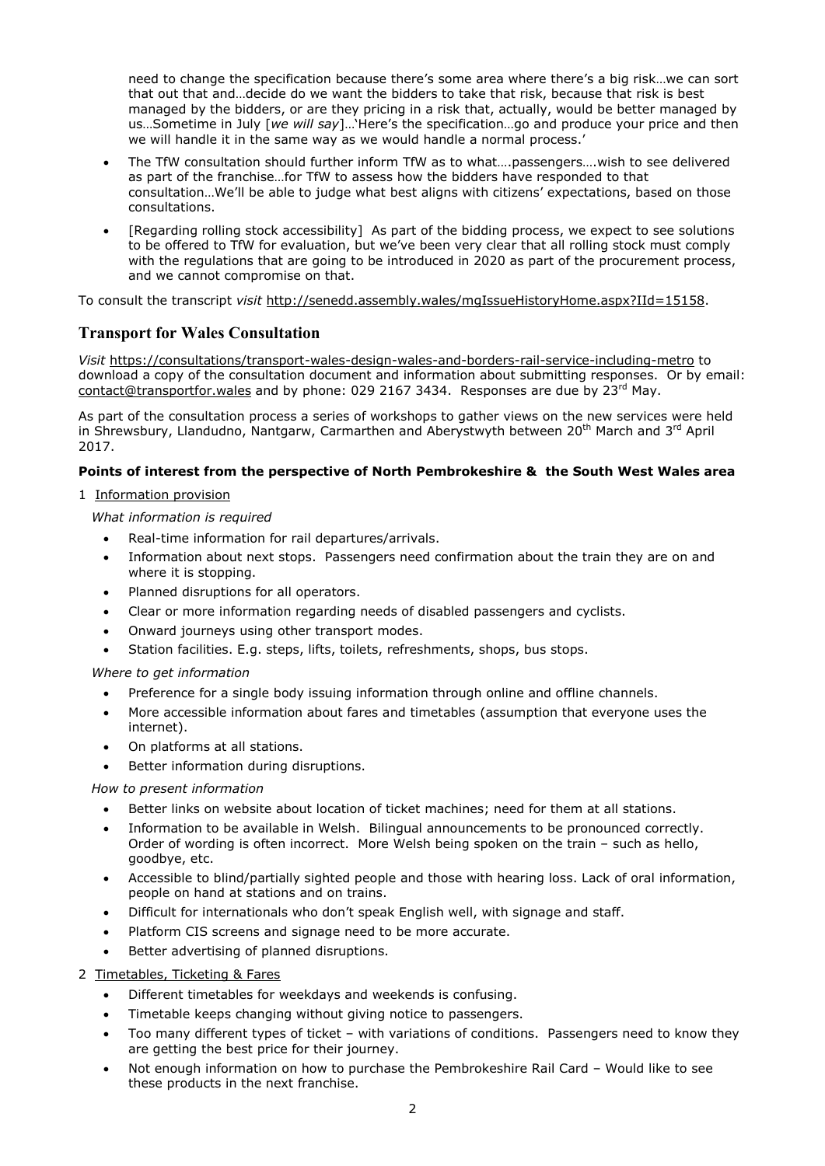need to change the specification because there's some area where there's a big risk…we can sort that out that and…decide do we want the bidders to take that risk, because that risk is best managed by the bidders, or are they pricing in a risk that, actually, would be better managed by us...Sometime in July [we will say]...'Here's the specification...go and produce your price and then we will handle it in the same way as we would handle a normal process.'

- The TfW consultation should further inform TfW as to what….passengers….wish to see delivered as part of the franchise…for TfW to assess how the bidders have responded to that consultation…We'll be able to judge what best aligns with citizens' expectations, based on those consultations.
- [Regarding rolling stock accessibility] As part of the bidding process, we expect to see solutions to be offered to TfW for evaluation, but we've been very clear that all rolling stock must comply with the regulations that are going to be introduced in 2020 as part of the procurement process, and we cannot compromise on that.

To consult the transcript visit http://senedd.assembly.wales/mgIssueHistoryHome.aspx?IId=15158.

# Transport for Wales Consultation

Visit https://consultations/transport-wales-design-wales-and-borders-rail-service-including-metro to download a copy of the consultation document and information about submitting responses. Or by email: contact@transportfor.wales and by phone: 029 2167 3434. Responses are due by  $23^{rd}$  May.

As part of the consultation process a series of workshops to gather views on the new services were held in Shrewsbury, Llandudno, Nantgarw, Carmarthen and Aberystwyth between  $20^{th}$  March and  $3^{rd}$  April 2017.

# Points of interest from the perspective of North Pembrokeshire & the South West Wales area

1 Information provision

# What information is required

- Real-time information for rail departures/arrivals.
- Information about next stops. Passengers need confirmation about the train they are on and where it is stopping.
- Planned disruptions for all operators.
- Clear or more information regarding needs of disabled passengers and cyclists.
- Onward journeys using other transport modes.
- Station facilities. E.g. steps, lifts, toilets, refreshments, shops, bus stops.

# Where to get information

- Preference for a single body issuing information through online and offline channels.
- More accessible information about fares and timetables (assumption that everyone uses the internet).
- On platforms at all stations.
- Better information during disruptions.

# How to present information

- Better links on website about location of ticket machines; need for them at all stations.
- Information to be available in Welsh. Bilingual announcements to be pronounced correctly. Order of wording is often incorrect. More Welsh being spoken on the train – such as hello, goodbye, etc.
- Accessible to blind/partially sighted people and those with hearing loss. Lack of oral information, people on hand at stations and on trains.
- Difficult for internationals who don't speak English well, with signage and staff.
- Platform CIS screens and signage need to be more accurate.
- Better advertising of planned disruptions.
- 2 Timetables, Ticketing & Fares
	- Different timetables for weekdays and weekends is confusing.
	- Timetable keeps changing without giving notice to passengers.
	- Too many different types of ticket with variations of conditions. Passengers need to know they are getting the best price for their journey.
	- Not enough information on how to purchase the Pembrokeshire Rail Card Would like to see these products in the next franchise.